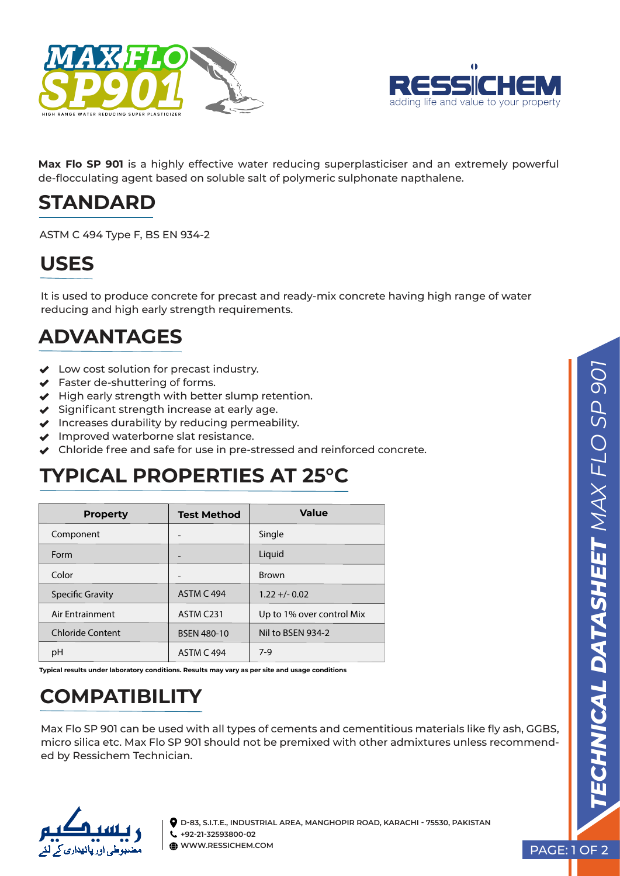



**Max Flo SP 901** is a highly effective water reducing superplasticiser and an extremely powerful de-flocculating agent based on soluble salt of polymeric sulphonate napthalene.

#### **STANDARD**

ASTM C 494 Type F, BS EN 934-2

### **USES**

It is used to produce concrete for precast and ready-mix concrete having high range of water reducing and high early strength requirements.

## **ADVANTAGES**

- ◆ Low cost solution for precast industry.
- ◆ Faster de-shuttering of forms.
- $\blacktriangleright$  High early strength with better slump retention.
- $\blacktriangleright$  Significant strength increase at early age.
- $\blacktriangleright$  Increases durability by reducing permeability.
- $\blacktriangleright$  Improved waterborne slat resistance.
- Chloride free and safe for use in pre-stressed and reinforced concrete.

#### **TYPICAL PROPERTIES AT 25°C**

| <b>Property</b>         | <b>Test Method</b> | Value                     |
|-------------------------|--------------------|---------------------------|
| Component               | -                  | Single                    |
| Form                    |                    | Liquid                    |
| Color                   |                    | <b>Brown</b>              |
| <b>Specific Gravity</b> | <b>ASTM C 494</b>  | $1.22 + - 0.02$           |
| Air Entrainment         | ASTM C231          | Up to 1% over control Mix |
| <b>Chloride Content</b> | <b>BSEN 480-10</b> | Nil to BSEN 934-2         |
| pH                      | <b>ASTM C 494</b>  | $7-9$                     |
|                         |                    |                           |

**Typical results under laboratory conditions. Results may vary as per site and usage conditions**

# **COMPATIBILITY**

Max Flo SP 901 can be used with all types of cements and cementitious materials like fly ash, GGBS, micro silica etc. Max Flo SP 901 should not be premixed with other admixtures unless recommended by Ressichem Technician.



**D-83, S.I.T.E., INDUSTRIAL AREA, MANGHOPIR ROAD, KARACHI - 75530, PAKISTAN +92-21-32593800-02 WWW.RESSICHEM.COM**

PAGE: 1 OF 2